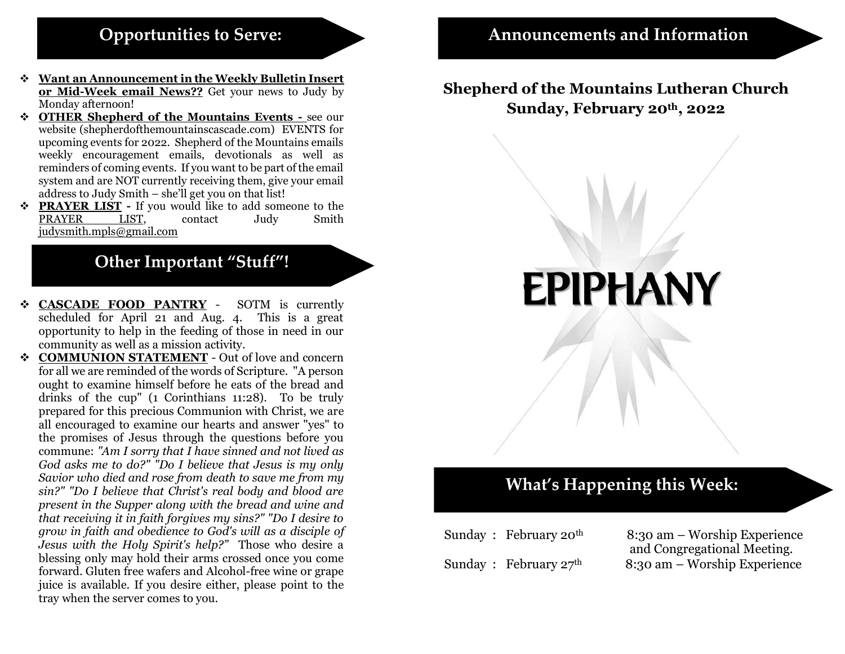#### **Opportunities to Serve:**

- ❖ **Want an Announcement in the Weekly Bulletin Insert or Mid-Week email News??** Get your news to Judy by Monday afternoon!
- ❖ **OTHER Shepherd of the Mountains Events -** see our website (shepherdofthemountainscascade.com) EVENTS for upcoming events for 2022. Shepherd of the Mountains emails weekly encouragement emails, devotionals as well as reminders of coming events. If you want to be part of the email system and are NOT currently receiving them, give your email address to Judy Smith – she'll get you on that list!
- ❖ **PRAYER LIST -** If you would like to add someone to the PRAYER LIST, contact Judy Smith [judysmith.mpls@gmail.com](mailto:judysmith.mpls@gmail.com)

#### **Other Important "Stuff"!**

- ❖ **CASCADE FOOD PANTRY** SOTM is currently scheduled for April 21 and Aug. 4. This is a great opportunity to help in the feeding of those in need in our community as well as a mission activity.
- ❖ **COMMUNION STATEMENT** Out of love and concern for all we are reminded of the words of Scripture. "A person ought to examine himself before he eats of the bread and drinks of the cup" (1 Corinthians 11:28). To be truly prepared for this precious Communion with Christ, we are all encouraged to examine our hearts and answer "yes" to the promises of Jesus through the questions before you commune: *"Am I sorry that I have sinned and not lived as God asks me to do?" "Do I believe that Jesus is my only Savior who died and rose from death to save me from my sin?" "Do I believe that Christ's real body and blood are present in the Supper along with the bread and wine and that receiving it in faith forgives my sins?" "Do I desire to grow in faith and obedience to God's will as a disciple of Jesus with the Holy Spirit's help?"* Those who desire a blessing only may hold their arms crossed once you come forward. Gluten free wafers and Alcohol-free wine or grape juice is available. If you desire either, please point to the tray when the server comes to you.

#### **Shepherd of the Mountains Lutheran Church Sunday, February 20th , 2022**

**EPIPHANY** 

# **What's Happening this Week:**

| Sunday: February 20 <sup>th</sup> | 8: |
|-----------------------------------|----|
|                                   | aı |
| Sunday: February $27th$           | 8: |

:30 am – Worship Experience and Congregational Meeting. :30 am – Worship Experience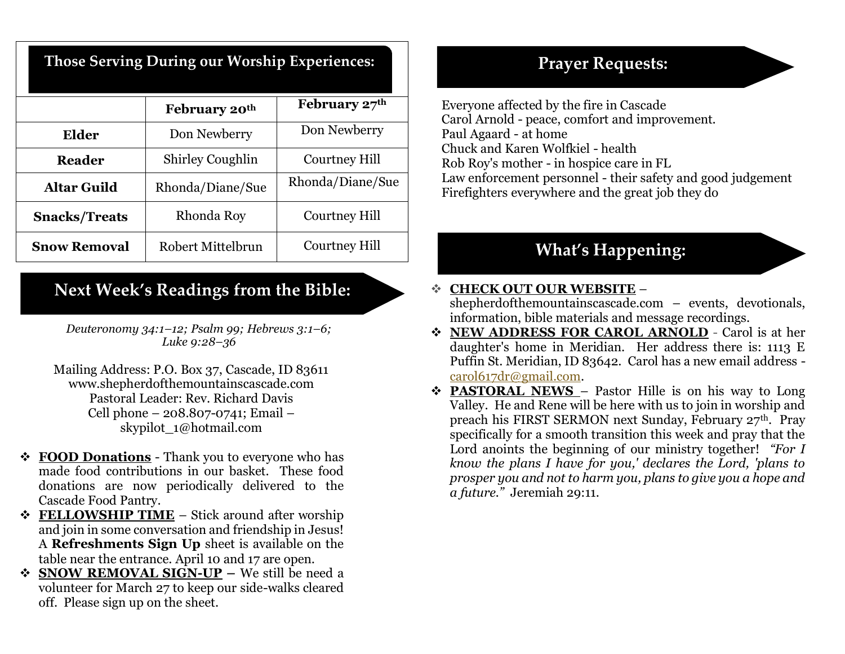| Those Serving During our Worship Experiences: |  |  |  |
|-----------------------------------------------|--|--|--|
|-----------------------------------------------|--|--|--|

|                      | February 20th           | February 27th        |
|----------------------|-------------------------|----------------------|
| <b>Elder</b>         | Don Newberry            | Don Newberry         |
| <b>Reader</b>        | <b>Shirley Coughlin</b> | Courtney Hill        |
| <b>Altar Guild</b>   | Rhonda/Diane/Sue        | Rhonda/Diane/Sue     |
| <b>Snacks/Treats</b> | Rhonda Roy              | Courtney Hill        |
| <b>Snow Removal</b>  | Robert Mittelbrun       | <b>Courtney Hill</b> |

#### **Next Week's Readings from the Bible:**

*Deuteronomy 34:1–12; Psalm 99; Hebrews 3:1–6; Luke 9:28–36*

Mailing Address: P.O. Box 37, Cascade, ID 83611 www.shepherdofthemountainscascade.com Pastoral Leader: Rev. Richard Davis Cell phone – 208.807-0741; Email – skypilot\_1@hotmail.com

- ❖ **FOOD Donations** Thank you to everyone who has made food contributions in our basket. These food donations are now periodically delivered to the Cascade Food Pantry.
- ❖ **FELLOWSHIP TIME** Stick around after worship and join in some conversation and friendship in Jesus! A **Refreshments Sign Up** sheet is available on the table near the entrance. April 10 and 17 are open.
- ❖ **SNOW REMOVAL SIGN-UP –** We still be need a volunteer for March 27 to keep our side-walks cleared off. Please sign up on the sheet.

### **Prayer Requests:**

Everyone affected by the fire in Cascade Carol Arnold - peace, comfort and improvement. Paul Agaard - at home Chuck and Karen Wolfkiel - health Rob Roy's mother - in hospice care in FL Law enforcement personnel - their safety and good judgement Firefighters everywhere and the great job they do

## **What's Happening:**

## ❖ **CHECK OUT OUR WEBSITE** –

shepherdofthemountainscascade.com – events, devotionals, information, bible materials and message recordings.

- ❖ **NEW ADDRESS FOR CAROL ARNOLD** Carol is at her daughter's home in Meridian. Her address there is: 1113 E Puffin St. Meridian, ID 83642. Carol has a new email address [carol617dr@gmail.com.](mailto:carol617dr@gmail.com)
- ❖ **PASTORAL NEWS**  Pastor Hille is on his way to Long Valley. He and Rene will be here with us to join in worship and preach his FIRST SERMON next Sunday, February 27th. Pray specifically for a smooth transition this week and pray that the Lord anoints the beginning of our ministry together! *"For I know the plans I have for you,' declares the Lord, 'plans to prosper you and not to harm you, plans to give you a hope and a future."* Jeremiah 29:11.